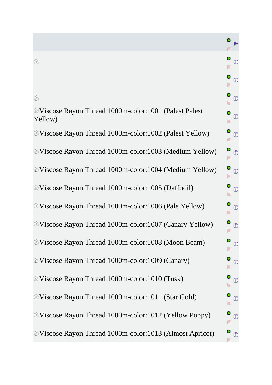## ◈ [V](http://marathonaustralia.com.au/admin/categories.php?cPath=1_5&pID=20&action=new_product_preview&read=only&osCAdminID=5aceda96b2ddca0899e66d5f4475e556)iscose Rayon Thread 1000m-color:1001 (Palest Palest Yellow) [V](http://marathonaustralia.com.au/admin/categories.php?cPath=1_5&pID=21&action=new_product_preview&read=only&osCAdminID=5aceda96b2ddca0899e66d5f4475e556)iscose Rayon Thread 1000m-color:1002 (Palest Yellow) [V](http://marathonaustralia.com.au/admin/categories.php?cPath=1_5&pID=22&action=new_product_preview&read=only&osCAdminID=5aceda96b2ddca0899e66d5f4475e556)iscose Rayon Thread 1000m-color:1003 (Medium Yellow) [V](http://marathonaustralia.com.au/admin/categories.php?cPath=1_5&pID=23&action=new_product_preview&read=only&osCAdminID=5aceda96b2ddca0899e66d5f4475e556)iscose Rayon Thread 1000m-color:1004 (Medium Yellow) [V](http://marathonaustralia.com.au/admin/categories.php?cPath=1_5&pID=24&action=new_product_preview&read=only&osCAdminID=5aceda96b2ddca0899e66d5f4475e556)iscose Rayon Thread 1000m-color:1005 (Daffodil) [V](http://marathonaustralia.com.au/admin/categories.php?cPath=1_5&pID=124&action=new_product_preview&read=only&osCAdminID=5aceda96b2ddca0899e66d5f4475e556)iscose Rayon Thread 1000m-color:1006 (Pale Yellow) [V](http://marathonaustralia.com.au/admin/categories.php?cPath=1_5&pID=125&action=new_product_preview&read=only&osCAdminID=5aceda96b2ddca0899e66d5f4475e556)iscose Rayon Thread 1000m-color:1007 (Canary Yellow) [V](http://marathonaustralia.com.au/admin/categories.php?cPath=1_5&pID=126&action=new_product_preview&read=only&osCAdminID=5aceda96b2ddca0899e66d5f4475e556)iscose Rayon Thread 1000m-color:1008 (Moon Beam) [V](http://marathonaustralia.com.au/admin/categories.php?cPath=1_5&pID=127&action=new_product_preview&read=only&osCAdminID=5aceda96b2ddca0899e66d5f4475e556)iscose Rayon Thread 1000m-color:1009 (Canary) [V](http://marathonaustralia.com.au/admin/categories.php?cPath=1_5&pID=128&action=new_product_preview&read=only&osCAdminID=5aceda96b2ddca0899e66d5f4475e556)iscose Rayon Thread 1000m-color:1010 (Tusk) [V](http://marathonaustralia.com.au/admin/categories.php?cPath=1_5&pID=129&action=new_product_preview&read=only&osCAdminID=5aceda96b2ddca0899e66d5f4475e556)iscose Rayon Thread 1000m-color:1011 (Star Gold) [V](http://marathonaustralia.com.au/admin/categories.php?cPath=1_5&pID=130&action=new_product_preview&read=only&osCAdminID=5aceda96b2ddca0899e66d5f4475e556)iscose Rayon Thread 1000m-color:1012 (Yellow Poppy) [V](http://marathonaustralia.com.au/admin/categories.php?cPath=1_5&pID=131&action=new_product_preview&read=only&osCAdminID=5aceda96b2ddca0899e66d5f4475e556)iscose Rayon Thread 1000m-color:1013 (Almost Apricot)

◈

 $\bullet$ 

 $\bigcirc$  $\Box$ 

 $^\circledR$  $\bullet$ 

 $\oplus$  $\Box$ 

ο  $^\circledR$  $\Box$ 

O  $\odot$ C

O  $\odot$ 

o  $\bigcirc$ 

O  $\bigcirc$ ö

O  $\odot$ 

O  $\odot$ 

o  $\odot$ 

o  $\bigcirc$  $\bullet$ 

O  $^{\circ}$  $\circ$ 

O  $\odot$  $\Box$ 

O  $\odot$ 

 $\circ$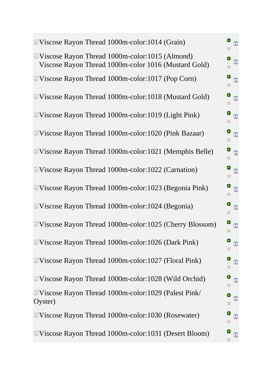|         |  | <b><i></i></b> ₹Viscose Rayon Thread 1000m-color:1014 (Grain)                                                  |  | $\bullet$             |
|---------|--|----------------------------------------------------------------------------------------------------------------|--|-----------------------|
|         |  | <b>EViscose Rayon Thread 1000m-color:1015 (Almond)</b><br>Viscose Rayon Thread 1000m-color 1016 (Mustard Gold) |  | o<br>$\Phi$           |
|         |  | EViscose Rayon Thread 1000m-color:1017 (Pop Corn)                                                              |  | O<br>$\Phi$           |
|         |  | <i></i> EViscose Rayon Thread 1000m-color:1018 (Mustard Gold)                                                  |  | o<br>$\Phi$           |
|         |  | EViscose Rayon Thread 1000m-color:1019 (Light Pink)                                                            |  | o<br>$\Phi$           |
|         |  | EViscose Rayon Thread 1000m-color:1020 (Pink Bazaar)                                                           |  | o<br>$\Phi$           |
|         |  | EViscose Rayon Thread 1000m-color:1021 (Memphis Belle)                                                         |  | O<br>$\circ$          |
|         |  | <b>EViscose Rayon Thread 1000m-color:1022 (Carnation)</b>                                                      |  | $\bullet$ $_{\oplus}$ |
|         |  | EViscose Rayon Thread 1000m-color:1023 (Begonia Pink)                                                          |  | O<br>$\circ$          |
|         |  | EViscose Rayon Thread 1000m-color:1024 (Begonia)                                                               |  | O<br>$\Phi$           |
|         |  | EViscose Rayon Thread 1000m-color:1025 (Cherry Blossom)                                                        |  | O<br>$\Phi$           |
|         |  | EViscose Rayon Thread 1000m-color:1026 (Dark Pink)                                                             |  | o<br>$\oplus$         |
|         |  | EViscose Rayon Thread 1000m-color:1027 (Floral Pink)                                                           |  | O<br>$\Phi$           |
|         |  | <b>EViscose Rayon Thread 1000m-color:1028 (Wild Orchid)</b>                                                    |  | O<br>$\Phi$           |
| Oyster) |  | EViscose Rayon Thread 1000m-color:1029 (Palest Pink/                                                           |  | O<br>$\Phi$           |
|         |  | <i></i> EViscose Rayon Thread 1000m-color:1030 (Rosewater)                                                     |  | O<br>$\Phi$           |
|         |  | EViscose Rayon Thread 1000m-color:1031 (Desert Bloom)                                                          |  | O<br>$\Phi$           |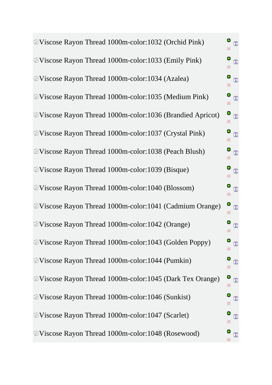| EViscose Rayon Thread 1000m-color:1032 (Orchid Pink)               | $\bullet$ $\circledcirc$ |
|--------------------------------------------------------------------|--------------------------|
| <b>Eviscose Rayon Thread 1000m-color:1033 (Emily Pink)</b>         | ٥<br>$\overline{0}$      |
| <b>EViscose Rayon Thread 1000m-color:1034 (Azalea)</b>             | $\bullet$                |
| <b><i>E</i>Viscose Rayon Thread 1000m-color:1035 (Medium Pink)</b> | $\bullet$ $_{\oplus}$    |
| EViscose Rayon Thread 1000m-color:1036 (Brandied Apricot)          | $\bullet$                |
| EViscose Rayon Thread 1000m-color:1037 (Crystal Pink)              | $\bullet$                |
| <b>EViscose Rayon Thread 1000m-color:1038 (Peach Blush)</b>        | $\bullet$                |
| <b>EViscose Rayon Thread 1000m-color:1039 (Bisque)</b>             | ٥<br>$\Phi$              |
| EViscose Rayon Thread 1000m-color:1040 (Blossom)                   | $\Phi$                   |
| EViscose Rayon Thread 1000m-color:1041 (Cadmium Orange)            | $\bullet$ $_{\oplus}$    |
| EViscose Rayon Thread 1000m-color:1042 (Orange)                    | $\overline{0}$           |
| EViscose Rayon Thread 1000m-color:1043 (Golden Poppy)              | $\, \oplus \,$           |
| <b>EViscose Rayon Thread 1000m-color:1044 (Pumkin)</b>             | o<br>$\Phi$              |
| EViscose Rayon Thread 1000m-color:1045 (Dark Tex Orange)           | $\bullet$                |
| Viscose Rayon Thread 1000m-color:1046 (Sunkist)                    | ۰<br>$\Phi$              |
| <b>EViscose Rayon Thread 1000m-color:1047 (Scarlet)</b>            | O<br>$\overline{0}$      |
| EViscose Rayon Thread 1000m-color:1048 (Rosewood)                  | $\Phi$                   |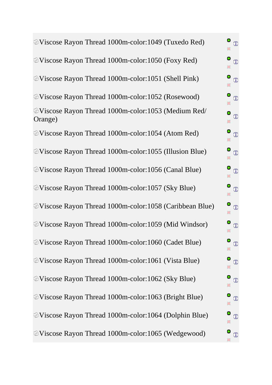|         | Viscose Rayon Thread 1000m-color:1049 (Tuxedo Red)             |  |
|---------|----------------------------------------------------------------|--|
|         | EViscose Rayon Thread 1000m-color:1050 (Foxy Red)              |  |
|         | EViscose Rayon Thread 1000m-color:1051 (Shell Pink)            |  |
|         | EViscose Rayon Thread 1000m-color:1052 (Rosewood)              |  |
| Orange) | EViscose Rayon Thread 1000m-color:1053 (Medium Red/            |  |
|         | <b>EViscose Rayon Thread 1000m-color:1054 (Atom Red)</b>       |  |
|         | EViscose Rayon Thread 1000m-color:1055 (Illusion Blue)         |  |
|         | EViscose Rayon Thread 1000m-color:1056 (Canal Blue)            |  |
|         | EViscose Rayon Thread 1000m-color:1057 (Sky Blue)              |  |
|         | <b>EViscose Rayon Thread 1000m-color:1058 (Caribbean Blue)</b> |  |
|         | EViscose Rayon Thread 1000m-color:1059 (Mid Windsor)           |  |
|         | Viscose Rayon Thread 1000m-color:1060 (Cadet Blue)             |  |
|         | EViscose Rayon Thread 1000m-color:1061 (Vista Blue)            |  |
|         | <b>EViscose Rayon Thread 1000m-color:1062 (Sky Blue)</b>       |  |
|         | EViscose Rayon Thread 1000m-color:1063 (Bright Blue)           |  |
|         | <b>EViscose Rayon Thread 1000m-color:1064 (Dolphin Blue)</b>   |  |
|         | EViscose Rayon Thread 1000m-color:1065 (Wedgewood)             |  |

 $\bullet$   $\circ$ 

 $\begin{array}{c}\n\bullet \\
\bullet \\
\bullet \\
\bullet\n\end{array}$ 

 $\bullet$   $\circ$ 

 $\bullet$   $\circ$ 

 $\bullet$   $\circ$ 

 $\bullet$   $\circ$ 

 $\bullet$   $\circ$ 

 $\bullet$   $\circ$ 

 $\begin{array}{c} \bullet \\ \bullet \\ \bullet \\ \bullet \end{array}$ 

 $\bullet$   $\circ$ 

 $\bullet$   $\circ$ 

 $\begin{array}{c}\n\bullet \\
\bullet \\
\bullet \\
\bullet\n\end{array}$ 

 $\begin{array}{c}\n\bullet \\
\bullet\n\end{array}$ 

 $\bullet$   $\circ$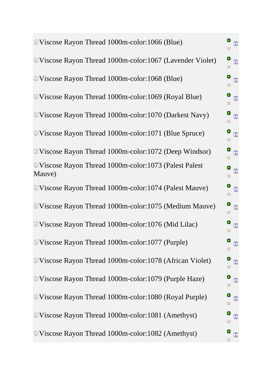| EViscose Rayon Thread 1000m-color:1066 (Blue)                    | o<br>$\overline{0}$          |
|------------------------------------------------------------------|------------------------------|
| <i></i> EViscose Rayon Thread 1000m-color:1067 (Lavender Violet) | O<br>$\Phi$                  |
| <b>EViscose Rayon Thread 1000m-color:1068 (Blue)</b>             | o<br>$\overline{0}$          |
| <i></i> EViscose Rayon Thread 1000m-color:1069 (Royal Blue)      | O<br>$\overline{\mathbb{O}}$ |
| EViscose Rayon Thread 1000m-color:1070 (Darkest Navy)            | O<br>$\Phi$                  |
| EViscose Rayon Thread 1000m-color:1071 (Blue Spruce)             | $\bullet$                    |
| EViscose Rayon Thread 1000m-color:1072 (Deep Windsor)            | O<br>$\Phi$                  |
| EViscose Rayon Thread 1000m-color:1073 (Palest Palest<br>Mauve)  | $\bullet$ $_{\oplus}$        |
| <b>EViscose Rayon Thread 1000m-color:1074 (Palest Mauve)</b>     | o<br>$\Phi$                  |
| <i></i> EViscose Rayon Thread 1000m-color:1075 (Medium Mauve)    | O<br>$\Phi$                  |
| EViscose Rayon Thread 1000m-color:1076 (Mid Lilac)               | o<br>$\Phi$                  |
| EViscose Rayon Thread 1000m-color:1077 (Purple)                  | O<br>Ф                       |
| <b>EViscose Rayon Thread 1000m-color:1078 (African Violet)</b>   | O<br>$\Phi$                  |
| <b>EViscose Rayon Thread 1000m-color:1079 (Purple Haze)</b>      | $\bullet$ $_{\oplus}$        |
| EViscose Rayon Thread 1000m-color:1080 (Royal Purple)            | O<br>$\Phi$                  |
| <b>EViscose Rayon Thread 1000m-color:1081 (Amethyst)</b>         | O<br>$\Phi$                  |
| EViscose Rayon Thread 1000m-color:1082 (Amethyst)                | ٥<br>$\Phi$                  |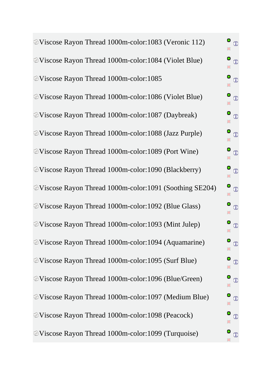[V](http://marathonaustralia.com.au/admin/categories.php?cPath=1_5&pID=516&action=new_product_preview&read=only&osCAdminID=5aceda96b2ddca0899e66d5f4475e556)iscose Rayon Thread 1000m-color:1083 (Veronic 112) O  $\oplus$ [V](http://marathonaustralia.com.au/admin/categories.php?cPath=1_5&pID=517&action=new_product_preview&read=only&osCAdminID=5aceda96b2ddca0899e66d5f4475e556)iscose Rayon Thread 1000m-color:1084 (Violet Blue) O  $\odot$  $\Box$ O [V](http://marathonaustralia.com.au/admin/categories.php?cPath=1_5&pID=518&action=new_product_preview&read=only&osCAdminID=5aceda96b2ddca0899e66d5f4475e556)iscose Rayon Thread 1000m-color:1085  $^{\circ}$  $\bullet$ [V](http://marathonaustralia.com.au/admin/categories.php?cPath=1_5&pID=519&action=new_product_preview&read=only&osCAdminID=5aceda96b2ddca0899e66d5f4475e556)iscose Rayon Thread 1000m-color:1086 (Violet Blue)  $\oplus$  $\Box$ 0 [V](http://marathonaustralia.com.au/admin/categories.php?cPath=1_5&pID=520&action=new_product_preview&read=only&osCAdminID=5aceda96b2ddca0899e66d5f4475e556)iscose Rayon Thread 1000m-color:1087 (Daybreak)  $^\circledR$ Ō [V](http://marathonaustralia.com.au/admin/categories.php?cPath=1_5&pID=521&action=new_product_preview&read=only&osCAdminID=5aceda96b2ddca0899e66d5f4475e556)iscose Rayon Thread 1000m-color:1088 (Jazz Purple)  $\mathbf{\circ}$  $\odot$ [V](http://marathonaustralia.com.au/admin/categories.php?cPath=1_5&pID=522&action=new_product_preview&read=only&osCAdminID=5aceda96b2ddca0899e66d5f4475e556)iscose Rayon Thread 1000m-color:1089 (Port Wine) O  $\odot$ [V](http://marathonaustralia.com.au/admin/categories.php?cPath=1_5&pID=524&action=new_product_preview&read=only&osCAdminID=5aceda96b2ddca0899e66d5f4475e556)iscose Rayon Thread 1000m-color:1090 (Blackberry) O  $\odot$ [V](http://marathonaustralia.com.au/admin/categories.php?cPath=1_5&pID=523&action=new_product_preview&read=only&osCAdminID=5aceda96b2ddca0899e66d5f4475e556)iscose Rayon Thread 1000m-color:1091 (Soothing SE204) O  $\odot$ O [V](http://marathonaustralia.com.au/admin/categories.php?cPath=1_5&pID=525&action=new_product_preview&read=only&osCAdminID=5aceda96b2ddca0899e66d5f4475e556)iscose Rayon Thread 1000m-color:1092 (Blue Glass)  $\oplus$ [V](http://marathonaustralia.com.au/admin/categories.php?cPath=1_5&pID=526&action=new_product_preview&read=only&osCAdminID=5aceda96b2ddca0899e66d5f4475e556)iscose Rayon Thread 1000m-color:1093 (Mint Julep) o  $\odot$ [V](http://marathonaustralia.com.au/admin/categories.php?cPath=1_5&pID=527&action=new_product_preview&read=only&osCAdminID=5aceda96b2ddca0899e66d5f4475e556)iscose Rayon Thread 1000m-color:1094 (Aquamarine) O  $\odot$ [V](http://marathonaustralia.com.au/admin/categories.php?cPath=1_5&pID=528&action=new_product_preview&read=only&osCAdminID=5aceda96b2ddca0899e66d5f4475e556)iscose Rayon Thread 1000m-color:1095 (Surf Blue)  $\odot$  $\bullet$ [V](http://marathonaustralia.com.au/admin/categories.php?cPath=1_5&pID=529&action=new_product_preview&read=only&osCAdminID=5aceda96b2ddca0899e66d5f4475e556)iscose Rayon Thread 1000m-color:1096 (Blue/Green) O  $\Phi$  $\circ$ [V](http://marathonaustralia.com.au/admin/categories.php?cPath=1_5&pID=530&action=new_product_preview&read=only&osCAdminID=5aceda96b2ddca0899e66d5f4475e556)iscose Rayon Thread 1000m-color:1097 (Medium Blue) O  $\odot$  $\bullet$ O [V](http://marathonaustralia.com.au/admin/categories.php?cPath=1_5&pID=531&action=new_product_preview&read=only&osCAdminID=5aceda96b2ddca0899e66d5f4475e556)iscose Rayon Thread 1000m-color:1098 (Peacock)  $\odot$ [V](http://marathonaustralia.com.au/admin/categories.php?cPath=1_5&pID=532&action=new_product_preview&read=only&osCAdminID=5aceda96b2ddca0899e66d5f4475e556)iscose Rayon Thread 1000m-color:1099 (Turquoise) $\circ$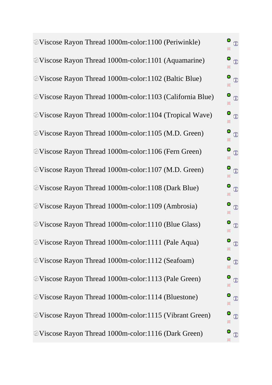[V](http://marathonaustralia.com.au/admin/categories.php?cPath=1_5&pID=533&action=new_product_preview&read=only&osCAdminID=5aceda96b2ddca0899e66d5f4475e556)iscose Rayon Thread 1000m-color:1100 (Periwinkle) [V](http://marathonaustralia.com.au/admin/categories.php?cPath=1_5&pID=534&action=new_product_preview&read=only&osCAdminID=5aceda96b2ddca0899e66d5f4475e556)iscose Rayon Thread 1000m-color:1101 (Aquamarine) [V](http://marathonaustralia.com.au/admin/categories.php?cPath=1_5&pID=535&action=new_product_preview&read=only&osCAdminID=5aceda96b2ddca0899e66d5f4475e556)iscose Rayon Thread 1000m-color:1102 (Baltic Blue) [V](http://marathonaustralia.com.au/admin/categories.php?cPath=1_5&pID=536&action=new_product_preview&read=only&osCAdminID=5aceda96b2ddca0899e66d5f4475e556)iscose Rayon Thread 1000m-color:1103 (California Blue) [V](http://marathonaustralia.com.au/admin/categories.php?cPath=1_5&pID=537&action=new_product_preview&read=only&osCAdminID=5aceda96b2ddca0899e66d5f4475e556)iscose Rayon Thread 1000m-color:1104 (Tropical Wave) [V](http://marathonaustralia.com.au/admin/categories.php?cPath=1_5&pID=538&action=new_product_preview&read=only&osCAdminID=5aceda96b2ddca0899e66d5f4475e556)iscose Rayon Thread 1000m-color:1105 (M.D. Green) [V](http://marathonaustralia.com.au/admin/categories.php?cPath=1_5&pID=539&action=new_product_preview&read=only&osCAdminID=5aceda96b2ddca0899e66d5f4475e556)iscose Rayon Thread 1000m-color:1106 (Fern Green) [V](http://marathonaustralia.com.au/admin/categories.php?cPath=1_5&pID=541&action=new_product_preview&read=only&osCAdminID=5aceda96b2ddca0899e66d5f4475e556)iscose Rayon Thread 1000m-color:1107 (M.D. Green) [V](http://marathonaustralia.com.au/admin/categories.php?cPath=1_5&pID=542&action=new_product_preview&read=only&osCAdminID=5aceda96b2ddca0899e66d5f4475e556)iscose Rayon Thread 1000m-color:1108 (Dark Blue) [V](http://marathonaustralia.com.au/admin/categories.php?cPath=1_5&pID=543&action=new_product_preview&read=only&osCAdminID=5aceda96b2ddca0899e66d5f4475e556)iscose Rayon Thread 1000m-color:1109 (Ambrosia) [V](http://marathonaustralia.com.au/admin/categories.php?cPath=1_5&pID=545&action=new_product_preview&read=only&osCAdminID=5aceda96b2ddca0899e66d5f4475e556)iscose Rayon Thread 1000m-color:1110 (Blue Glass) [V](http://marathonaustralia.com.au/admin/categories.php?cPath=1_5&pID=546&action=new_product_preview&read=only&osCAdminID=5aceda96b2ddca0899e66d5f4475e556)iscose Rayon Thread 1000m-color:1111 (Pale Aqua) [V](http://marathonaustralia.com.au/admin/categories.php?cPath=1_5&pID=548&action=new_product_preview&read=only&osCAdminID=5aceda96b2ddca0899e66d5f4475e556)iscose Rayon Thread 1000m-color:1112 (Seafoam) [V](http://marathonaustralia.com.au/admin/categories.php?cPath=1_5&pID=549&action=new_product_preview&read=only&osCAdminID=5aceda96b2ddca0899e66d5f4475e556)iscose Rayon Thread 1000m-color:1113 (Pale Green) [V](http://marathonaustralia.com.au/admin/categories.php?cPath=1_5&pID=551&action=new_product_preview&read=only&osCAdminID=5aceda96b2ddca0899e66d5f4475e556)iscose Rayon Thread 1000m-color:1114 (Bluestone) [V](http://marathonaustralia.com.au/admin/categories.php?cPath=1_5&pID=552&action=new_product_preview&read=only&osCAdminID=5aceda96b2ddca0899e66d5f4475e556)iscose Rayon Thread 1000m-color:1115 (Vibrant Green) [V](http://marathonaustralia.com.au/admin/categories.php?cPath=1_5&pID=554&action=new_product_preview&read=only&osCAdminID=5aceda96b2ddca0899e66d5f4475e556)iscose Rayon Thread 1000m-color:1116 (Dark Green)

O  $\oplus$ 

o  $\odot$  $\Box$ 

o  $\odot$ 

0  $\odot$ Ō

O  $\odot$ 

O  $\odot$ 

O  $\odot$ 

O  $\odot$ Ō

O  $\oplus$ 

 $\circ$  $\odot$ 

O  $\odot$ 

O  $\Phi$  $\circ$ 

O  $\odot$  $\Box$ 

O  $\circ$ 

 $\circ$ 

 $\odot$ Ō

 $\odot$ Ō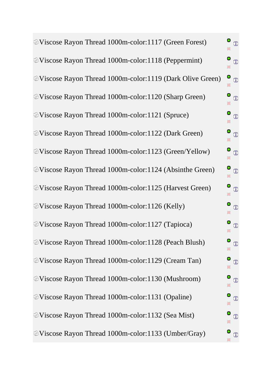[V](http://marathonaustralia.com.au/admin/categories.php?cPath=1_5&pID=556&action=new_product_preview&read=only&osCAdminID=5aceda96b2ddca0899e66d5f4475e556)iscose Rayon Thread 1000m-color:1117 (Green Forest) O  $\oplus$ [V](http://marathonaustralia.com.au/admin/categories.php?cPath=1_5&pID=558&action=new_product_preview&read=only&osCAdminID=5aceda96b2ddca0899e66d5f4475e556)iscose Rayon Thread 1000m-color:1118 (Peppermint) O  $\odot$  $\bullet$ [V](http://marathonaustralia.com.au/admin/categories.php?cPath=1_5&pID=559&action=new_product_preview&read=only&osCAdminID=5aceda96b2ddca0899e66d5f4475e556)iscose Rayon Thread 1000m-color:1119 (Dark Olive Green) O  $\odot$ [V](http://marathonaustralia.com.au/admin/categories.php?cPath=1_5&pID=560&action=new_product_preview&read=only&osCAdminID=5aceda96b2ddca0899e66d5f4475e556)iscose Rayon Thread 1000m-color:1120 (Sharp Green) O  $\oplus$  $\Box$ O [V](http://marathonaustralia.com.au/admin/categories.php?cPath=1_5&pID=561&action=new_product_preview&read=only&osCAdminID=5aceda96b2ddca0899e66d5f4475e556)iscose Rayon Thread 1000m-color:1121 (Spruce)  $\odot$ Ō [V](http://marathonaustralia.com.au/admin/categories.php?cPath=1_5&pID=562&action=new_product_preview&read=only&osCAdminID=5aceda96b2ddca0899e66d5f4475e556)iscose Rayon Thread 1000m-color:1122 (Dark Green)  $\mathbf{\circ}$  $\odot$ [V](http://marathonaustralia.com.au/admin/categories.php?cPath=1_5&pID=563&action=new_product_preview&read=only&osCAdminID=5aceda96b2ddca0899e66d5f4475e556)iscose Rayon Thread 1000m-color:1123 (Green/Yellow) O  $\odot$ [V](http://marathonaustralia.com.au/admin/categories.php?cPath=1_5&pID=564&action=new_product_preview&read=only&osCAdminID=5aceda96b2ddca0899e66d5f4475e556)iscose Rayon Thread 1000m-color:1124 (Absinthe Green) O  $\oplus$ [V](http://marathonaustralia.com.au/admin/categories.php?cPath=1_5&pID=565&action=new_product_preview&read=only&osCAdminID=5aceda96b2ddca0899e66d5f4475e556)iscose Rayon Thread 1000m-color:1125 (Harvest Green) O  $\oplus$ O [V](http://marathonaustralia.com.au/admin/categories.php?cPath=1_5&pID=566&action=new_product_preview&read=only&osCAdminID=5aceda96b2ddca0899e66d5f4475e556)iscose Rayon Thread 1000m-color:1126 (Kelly)  $\odot$ [V](http://marathonaustralia.com.au/admin/categories.php?cPath=1_5&pID=567&action=new_product_preview&read=only&osCAdminID=5aceda96b2ddca0899e66d5f4475e556)iscose Rayon Thread 1000m-color:1127 (Tapioca) o  $\odot$ [V](http://marathonaustralia.com.au/admin/categories.php?cPath=1_5&pID=408&action=new_product_preview&read=only&osCAdminID=5aceda96b2ddca0899e66d5f4475e556)iscose Rayon Thread 1000m-color:1128 (Peach Blush) O  $\odot$ O [V](http://marathonaustralia.com.au/admin/categories.php?cPath=1_5&pID=409&action=new_product_preview&read=only&osCAdminID=5aceda96b2ddca0899e66d5f4475e556)iscose Rayon Thread 1000m-color:1129 (Cream Tan)  $\odot$  $\bullet$ [V](http://marathonaustralia.com.au/admin/categories.php?cPath=1_5&pID=412&action=new_product_preview&read=only&osCAdminID=5aceda96b2ddca0899e66d5f4475e556)iscose Rayon Thread 1000m-color:1130 (Mushroom) O  $\Phi$  $\circ$ [V](http://marathonaustralia.com.au/admin/categories.php?cPath=1_5&pID=413&action=new_product_preview&read=only&osCAdminID=5aceda96b2ddca0899e66d5f4475e556)iscose Rayon Thread 1000m-color:1131 (Opaline) O  $\odot$  $\bullet$ [V](http://marathonaustralia.com.au/admin/categories.php?cPath=1_5&pID=568&action=new_product_preview&read=only&osCAdminID=5aceda96b2ddca0899e66d5f4475e556)iscose Rayon Thread 1000m-color:1132 (Sea Mist) O  $\circled{1}$ [V](http://marathonaustralia.com.au/admin/categories.php?cPath=1_5&pID=569&action=new_product_preview&read=only&osCAdminID=5aceda96b2ddca0899e66d5f4475e556)iscose Rayon Thread 1000m-color:1133 (Umber/Gray) $\circ$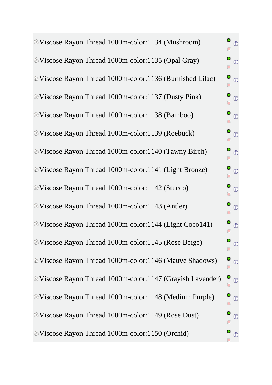[V](http://marathonaustralia.com.au/admin/categories.php?cPath=1_5&pID=571&action=new_product_preview&read=only&osCAdminID=5aceda96b2ddca0899e66d5f4475e556)iscose Rayon Thread 1000m-color:1134 (Mushroom) o  $\oplus$ [V](http://marathonaustralia.com.au/admin/categories.php?cPath=1_5&pID=573&action=new_product_preview&read=only&osCAdminID=5aceda96b2ddca0899e66d5f4475e556)iscose Rayon Thread 1000m-color:1135 (Opal Gray) O  $\odot$  $\bullet$ [V](http://marathonaustralia.com.au/admin/categories.php?cPath=1_5&pID=411&action=new_product_preview&read=only&osCAdminID=5aceda96b2ddca0899e66d5f4475e556)iscose Rayon Thread 1000m-color:1136 (Burnished Lilac) 0  $\odot$ [V](http://marathonaustralia.com.au/admin/categories.php?cPath=1_5&pID=415&action=new_product_preview&read=only&osCAdminID=5aceda96b2ddca0899e66d5f4475e556)iscose Rayon Thread 1000m-color:1137 (Dusty Pink) O  $\oplus$  $\Box$ O [V](http://marathonaustralia.com.au/admin/categories.php?cPath=1_5&pID=414&action=new_product_preview&read=only&osCAdminID=5aceda96b2ddca0899e66d5f4475e556)iscose Rayon Thread 1000m-color:1138 (Bamboo)  $\odot$ Ō [V](http://marathonaustralia.com.au/admin/categories.php?cPath=1_5&pID=416&action=new_product_preview&read=only&osCAdminID=5aceda96b2ddca0899e66d5f4475e556)iscose Rayon Thread 1000m-color:1139 (Roebuck)  $\mathbf{\circ}$  $\odot$ [V](http://marathonaustralia.com.au/admin/categories.php?cPath=1_5&pID=417&action=new_product_preview&read=only&osCAdminID=5aceda96b2ddca0899e66d5f4475e556)iscose Rayon Thread 1000m-color:1140 (Tawny Birch) O  $\circ$ [V](http://marathonaustralia.com.au/admin/categories.php?cPath=1_5&pID=574&action=new_product_preview&read=only&osCAdminID=5aceda96b2ddca0899e66d5f4475e556)iscose Rayon Thread 1000m-color:1141 (Light Bronze) O  $\odot$ [V](http://marathonaustralia.com.au/admin/categories.php?cPath=1_5&pID=575&action=new_product_preview&read=only&osCAdminID=5aceda96b2ddca0899e66d5f4475e556)iscose Rayon Thread 1000m-color:1142 (Stucco) O  $\odot$ Ō O [V](http://marathonaustralia.com.au/admin/categories.php?cPath=1_5&pID=576&action=new_product_preview&read=only&osCAdminID=5aceda96b2ddca0899e66d5f4475e556)iscose Rayon Thread 1000m-color:1143 (Antler)  $\oplus$ [V](http://marathonaustralia.com.au/admin/categories.php?cPath=1_5&pID=577&action=new_product_preview&read=only&osCAdminID=5aceda96b2ddca0899e66d5f4475e556)iscose Rayon Thread 1000m-color:1144 (Light Coco141) o  $\odot$ [V](http://marathonaustralia.com.au/admin/categories.php?cPath=1_5&pID=578&action=new_product_preview&read=only&osCAdminID=5aceda96b2ddca0899e66d5f4475e556)iscose Rayon Thread 1000m-color:1145 (Rose Beige) O  $\odot$ [V](http://marathonaustralia.com.au/admin/categories.php?cPath=1_5&pID=579&action=new_product_preview&read=only&osCAdminID=5aceda96b2ddca0899e66d5f4475e556)iscose Rayon Thread 1000m-color:1146 (Mauve Shadows) O  $\oplus$ Ō O [V](http://marathonaustralia.com.au/admin/categories.php?cPath=1_5&pID=580&action=new_product_preview&read=only&osCAdminID=5aceda96b2ddca0899e66d5f4475e556)iscose Rayon Thread 1000m-color:1147 (Grayish Lavender)  $\odot$  $\circ$ [V](http://marathonaustralia.com.au/admin/categories.php?cPath=1_5&pID=581&action=new_product_preview&read=only&osCAdminID=5aceda96b2ddca0899e66d5f4475e556)iscose Rayon Thread 1000m-color:1148 (Medium Purple) o  $\odot$  $\Box$ O [V](http://marathonaustralia.com.au/admin/categories.php?cPath=1_5&pID=582&action=new_product_preview&read=only&osCAdminID=5aceda96b2ddca0899e66d5f4475e556)iscose Rayon Thread 1000m-color:1149 (Rose Dust)  $\odot$ [V](http://marathonaustralia.com.au/admin/categories.php?cPath=1_5&pID=583&action=new_product_preview&read=only&osCAdminID=5aceda96b2ddca0899e66d5f4475e556)iscose Rayon Thread 1000m-color:1150 (Orchid) $\circ$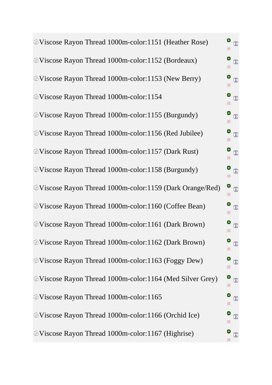[V](http://marathonaustralia.com.au/admin/categories.php?cPath=1_5&pID=475&action=new_product_preview&read=only&osCAdminID=5aceda96b2ddca0899e66d5f4475e556)iscose Rayon Thread 1000m-color:1151 (Heather Rose) o  $\odot$  $\bullet$ [V](http://marathonaustralia.com.au/admin/categories.php?cPath=1_5&pID=540&action=new_product_preview&read=only&osCAdminID=5aceda96b2ddca0899e66d5f4475e556)iscose Rayon Thread 1000m-color:1152 (Bordeaux)  $\odot$  $\bullet$ [V](http://marathonaustralia.com.au/admin/categories.php?cPath=1_5&pID=544&action=new_product_preview&read=only&osCAdminID=5aceda96b2ddca0899e66d5f4475e556)iscose Rayon Thread 1000m-color:1153 (New Berry) O Ф [V](http://marathonaustralia.com.au/admin/categories.php?cPath=1_5&pID=547&action=new_product_preview&read=only&osCAdminID=5aceda96b2ddca0899e66d5f4475e556)iscose Rayon Thread 1000m-color:1154  $\oplus$  $\Box$ 0 [V](http://marathonaustralia.com.au/admin/categories.php?cPath=1_5&pID=550&action=new_product_preview&read=only&osCAdminID=5aceda96b2ddca0899e66d5f4475e556)iscose Rayon Thread 1000m-color:1155 (Burgundy)  $^\circledR$ [V](http://marathonaustralia.com.au/admin/categories.php?cPath=1_5&pID=553&action=new_product_preview&read=only&osCAdminID=5aceda96b2ddca0899e66d5f4475e556)iscose Rayon Thread 1000m-color:1156 (Red Jubilee)  $\mathbf{\circ}$  $\odot$ [V](http://marathonaustralia.com.au/admin/categories.php?cPath=1_5&pID=555&action=new_product_preview&read=only&osCAdminID=5aceda96b2ddca0899e66d5f4475e556)iscose Rayon Thread 1000m-color:1157 (Dark Rust) O  $\odot$ [V](http://marathonaustralia.com.au/admin/categories.php?cPath=1_5&pID=423&action=new_product_preview&read=only&osCAdminID=5aceda96b2ddca0899e66d5f4475e556)iscose Rayon Thread 1000m-color:1158 (Burgundy) O  $\odot$ [V](http://marathonaustralia.com.au/admin/categories.php?cPath=1_5&pID=424&action=new_product_preview&read=only&osCAdminID=5aceda96b2ddca0899e66d5f4475e556)iscose Rayon Thread 1000m-color:1159 (Dark Orange/Red) o  $\odot$ O [V](http://marathonaustralia.com.au/admin/categories.php?cPath=1_5&pID=427&action=new_product_preview&read=only&osCAdminID=5aceda96b2ddca0899e66d5f4475e556)iscose Rayon Thread 1000m-color:1160 (Coffee Bean)  $\oplus$ O [V](http://marathonaustralia.com.au/admin/categories.php?cPath=1_5&pID=699&action=new_product_preview&read=only&osCAdminID=5aceda96b2ddca0899e66d5f4475e556)iscose Rayon Thread 1000m-color:1161 (Dark Brown)  $\odot$ [V](http://marathonaustralia.com.au/admin/categories.php?cPath=1_5&pID=700&action=new_product_preview&read=only&osCAdminID=5aceda96b2ddca0899e66d5f4475e556)iscose Rayon Thread 1000m-color:1162 (Dark Brown) O  $\odot$ [V](http://marathonaustralia.com.au/admin/categories.php?cPath=1_5&pID=701&action=new_product_preview&read=only&osCAdminID=5aceda96b2ddca0899e66d5f4475e556)iscose Rayon Thread 1000m-color:1163 (Foggy Dew) o  $\odot$  $\bullet$ [V](http://marathonaustralia.com.au/admin/categories.php?cPath=1_5&pID=702&action=new_product_preview&read=only&osCAdminID=5aceda96b2ddca0899e66d5f4475e556)iscose Rayon Thread 1000m-color:1164 (Med Silver Grey) o  $\Phi$  $\circ$  $\bullet$ [V](http://marathonaustralia.com.au/admin/categories.php?cPath=1_5&pID=703&action=new_product_preview&read=only&osCAdminID=5aceda96b2ddca0899e66d5f4475e556)iscose Rayon Thread 1000m-color:1165  $\odot$  $\bullet$ O [V](http://marathonaustralia.com.au/admin/categories.php?cPath=1_5&pID=704&action=new_product_preview&read=only&osCAdminID=5aceda96b2ddca0899e66d5f4475e556)iscose Rayon Thread 1000m-color:1166 (Orchid Ice)  $\odot$ [V](http://marathonaustralia.com.au/admin/categories.php?cPath=1_5&pID=705&action=new_product_preview&read=only&osCAdminID=5aceda96b2ddca0899e66d5f4475e556)iscose Rayon Thread 1000m-color:1167 (Highrise) $\odot$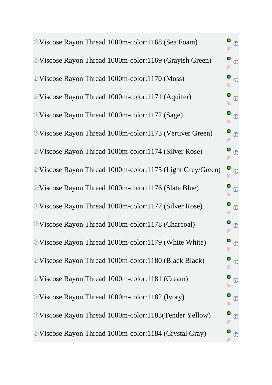| EViscose Rayon Thread 1000m-color:1168 (Sea Foam)           | $\bullet$ $\circ$        |
|-------------------------------------------------------------|--------------------------|
| EViscose Rayon Thread 1000m-color:1169 (Grayish Green)      | ٥<br>$\Phi$              |
| EViscose Rayon Thread 1000m-color:1170 (Moss)               | ٥<br>$\Phi$              |
| EViscose Rayon Thread 1000m-color:1171 (Aquifer)            | $\bullet$ $\circledcirc$ |
| EViscose Rayon Thread 1000m-color:1172 (Sage)               | O<br>$\overline{0}$      |
| EViscose Rayon Thread 1000m-color:1173 (Vertiver Green)     | $\bullet$                |
| EViscose Rayon Thread 1000m-color:1174 (Silver Rose)        | $\bullet$ $_{\oplus}$    |
| EViscose Rayon Thread 1000m-color:1175 (Light Grey/Green)   | O<br>$\Phi$              |
| <i></i> EViscose Rayon Thread 1000m-color:1176 (Slate Blue) | $\bullet$                |
| EViscose Rayon Thread 1000m-color:1177 (Silver Rose)        | o<br>$\Phi$              |
| EViscose Rayon Thread 1000m-color:1178 (Charcoal)           | $\Phi$                   |
| EViscose Rayon Thread 1000m-color:1179 (White White)        | Ф                        |
| EViscose Rayon Thread 1000m-color:1180 (Black Black)        | O<br>$\overline{0}$      |
| EViscose Rayon Thread 1000m-color:1181 (Cream)              | o<br>$\Phi$              |
| <b>EViscose Rayon Thread 1000m-color:1182 (Ivory)</b>       | $\bullet$ $\circledcirc$ |
| EViscose Rayon Thread 1000m-color:1183(Tender Yellow)       | $\bullet$<br>$\Phi$      |
| EViscose Rayon Thread 1000m-color:1184 (Crystal Gray)       | $\Phi$                   |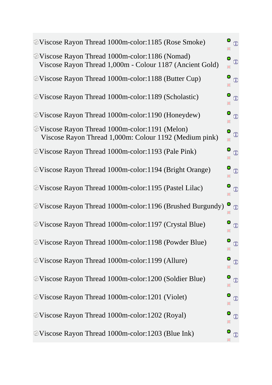| EViscose Rayon Thread 1000m-color:1185 (Rose Smoke)                                                               | ٥                      |
|-------------------------------------------------------------------------------------------------------------------|------------------------|
| <b>EViscose Rayon Thread 1000m-color:1186 (Nomad)</b><br>Viscose Rayon Thread 1,000m - Colour 1187 (Ancient Gold) | o<br>$^\circledR$      |
| <i></i> EViscose Rayon Thread 1000m-color:1188 (Butter Cup)                                                       | О<br>Ф                 |
| <b>EViscose Rayon Thread 1000m-color:1189 (Scholastic)</b>                                                        | O<br>$^\circledR$      |
| EViscose Rayon Thread 1000m-color:1190 (Honeydew)                                                                 | О<br>$\Phi$            |
| <b>EViscose Rayon Thread 1000m-color:1191 (Melon)</b><br>Viscose Rayon Thread 1,000m: Colour 1192 (Medium pink)   | Ο<br>$^\circledR$<br>O |
| EViscose Rayon Thread 1000m-color:1193 (Pale Pink)                                                                | О<br>$^\circledR$      |
| <i></i> EViscose Rayon Thread 1000m-color:1194 (Bright Orange)                                                    | o<br>$\odot$           |
| EViscose Rayon Thread 1000m-color:1195 (Pastel Lilac)                                                             | о<br>$^\circledR$      |
| <i></i> EViscose Rayon Thread 1000m-color:1196 (Brushed Burgundy)                                                 | o<br>$\Phi$            |
| EViscose Rayon Thread 1000m-color:1197 (Crystal Blue)                                                             | o<br>Ф<br>O            |
| <b><i>E</i>Viscose Rayon Thread 1000m-color:1198 (Powder Blue)</b>                                                | o<br>⊕                 |
| <b>EViscose Rayon Thread 1000m-color:1199 (Allure)</b>                                                            | o<br>$^{\circ}$        |
| <i></i> EViscose Rayon Thread 1000m-color:1200 (Soldier Blue)                                                     | ۰<br>$\overline{0}$    |
| Viscose Rayon Thread 1000m-color:1201 (Violet)                                                                    | О<br>$^\circledR$      |
| <b>EViscose Rayon Thread 1000m-color:1202 (Royal)</b>                                                             | 0<br>$^\circledR$      |
| EViscose Rayon Thread 1000m-color:1203 (Blue Ink)                                                                 | o<br>$^\circledR$      |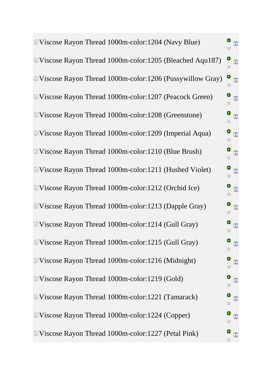[V](http://marathonaustralia.com.au/admin/categories.php?cPath=1_5&pID=742&action=new_product_preview&read=only&osCAdminID=5aceda96b2ddca0899e66d5f4475e556)iscose Rayon Thread 1000m-color:1204 (Navy Blue)  $\bullet$  $\odot$ [V](http://marathonaustralia.com.au/admin/categories.php?cPath=1_5&pID=743&action=new_product_preview&read=only&osCAdminID=5aceda96b2ddca0899e66d5f4475e556)iscose Rayon Thread 1000m-color:1205 (Bleached Aqu187) O  $\Phi$ O [V](http://marathonaustralia.com.au/admin/categories.php?cPath=1_5&pID=744&action=new_product_preview&read=only&osCAdminID=5aceda96b2ddca0899e66d5f4475e556)iscose Rayon Thread 1000m-color:1206 (Pussywillow Gray)  $\odot$ [V](http://marathonaustralia.com.au/admin/categories.php?cPath=1_5&pID=745&action=new_product_preview&read=only&osCAdminID=5aceda96b2ddca0899e66d5f4475e556)iscose Rayon Thread 1000m-color:1207 (Peacock Green)  $\odot$ O [V](http://marathonaustralia.com.au/admin/categories.php?cPath=1_5&pID=746&action=new_product_preview&read=only&osCAdminID=5aceda96b2ddca0899e66d5f4475e556)iscose Rayon Thread 1000m-color:1208 (Greenstone)  $\odot$ Ō [V](http://marathonaustralia.com.au/admin/categories.php?cPath=1_5&pID=747&action=new_product_preview&read=only&osCAdminID=5aceda96b2ddca0899e66d5f4475e556)iscose Rayon Thread 1000m-color:1209 (Imperial Aqua)  $\mathbf{\circ}$  $\odot$ [V](http://marathonaustralia.com.au/admin/categories.php?cPath=1_5&pID=748&action=new_product_preview&read=only&osCAdminID=5aceda96b2ddca0899e66d5f4475e556)iscose Rayon Thread 1000m-color:1210 (Blue Brush) O  $\odot$ [V](http://marathonaustralia.com.au/admin/categories.php?cPath=1_5&pID=749&action=new_product_preview&read=only&osCAdminID=5aceda96b2ddca0899e66d5f4475e556)iscose Rayon Thread 1000m-color:1211 (Hushed Violet) O  $\odot$ [V](http://marathonaustralia.com.au/admin/categories.php?cPath=1_5&pID=750&action=new_product_preview&read=only&osCAdminID=5aceda96b2ddca0899e66d5f4475e556)iscose Rayon Thread 1000m-color:1212 (Orchid Ice) O  $\odot$ O [V](http://marathonaustralia.com.au/admin/categories.php?cPath=1_5&pID=751&action=new_product_preview&read=only&osCAdminID=5aceda96b2ddca0899e66d5f4475e556)iscose Rayon Thread 1000m-color:1213 (Dapple Gray)  $\oplus$ [V](http://marathonaustralia.com.au/admin/categories.php?cPath=1_5&pID=752&action=new_product_preview&read=only&osCAdminID=5aceda96b2ddca0899e66d5f4475e556)iscose Rayon Thread 1000m-color:1214 (Gull Gray) o  $\odot$ [V](http://marathonaustralia.com.au/admin/categories.php?cPath=1_5&pID=753&action=new_product_preview&read=only&osCAdminID=5aceda96b2ddca0899e66d5f4475e556)iscose Rayon Thread 1000m-color:1215 (Gull Gray) O  $\overline{0}$ [V](http://marathonaustralia.com.au/admin/categories.php?cPath=1_5&pID=754&action=new_product_preview&read=only&osCAdminID=5aceda96b2ddca0899e66d5f4475e556)iscose Rayon Thread 1000m-color:1216 (Midnight)  $\Phi$  $\bullet$ [V](http://marathonaustralia.com.au/admin/categories.php?cPath=1_5&pID=398&action=new_product_preview&read=only&osCAdminID=5aceda96b2ddca0899e66d5f4475e556)iscose Rayon Thread 1000m-color:1219 (Gold) O  $\circ$ [V](http://marathonaustralia.com.au/admin/categories.php?cPath=1_5&pID=756&action=new_product_preview&read=only&osCAdminID=5aceda96b2ddca0899e66d5f4475e556)iscose Rayon Thread 1000m-color:1221 (Tamarack) O  $\odot$  $\bullet$ [V](http://marathonaustralia.com.au/admin/categories.php?cPath=1_5&pID=757&action=new_product_preview&read=only&osCAdminID=5aceda96b2ddca0899e66d5f4475e556)iscose Rayon Thread 1000m-color:1224 (Copper) O  $\Phi$ [V](http://marathonaustralia.com.au/admin/categories.php?cPath=1_5&pID=758&action=new_product_preview&read=only&osCAdminID=5aceda96b2ddca0899e66d5f4475e556)iscose Rayon Thread 1000m-color:1227 (Petal Pink) $\odot$ 

 $^{\circ}$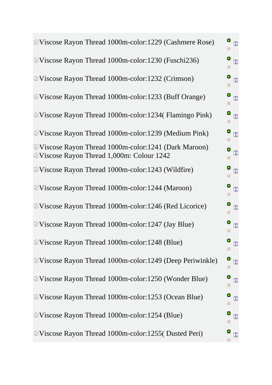| EViscose Rayon Thread 1000m-color:1229 (Cashmere Rose)                                                          | $\bullet$              |
|-----------------------------------------------------------------------------------------------------------------|------------------------|
| <b>EViscose Rayon Thread 1000m-color:1230 (Fuschi236)</b>                                                       | o<br>$\Phi$            |
| <b>EViscose Rayon Thread 1000m-color:1232 (Crimson)</b>                                                         | o<br>$\overline{\Phi}$ |
| <b>EViscose Rayon Thread 1000m-color:1233 (Buff Orange)</b>                                                     | О<br>$\overline{0}$    |
| EViscose Rayon Thread 1000m-color:1234(Flamingo Pink)                                                           | o<br>$\Phi$            |
| <b><i>E</i></b> Viscose Rayon Thread 1000m-color:1239 (Medium Pink)                                             | $\bullet$              |
| <b>EViscose Rayon Thread 1000m-color:1241 (Dark Maroon)</b><br><b>EViscose Rayon Thread 1,000m: Colour 1242</b> | О<br>$\overline{0}$    |
| <i></i> EViscose Rayon Thread 1000m-color:1243 (Wildfire)                                                       | o<br>$\Phi$            |
| EViscose Rayon Thread 1000m-color:1244 (Maroon)                                                                 | o<br>$\Phi$            |
| <b>EViscose Rayon Thread 1000m-color:1246 (Red Licorice)</b>                                                    | О<br>$\odot$           |
| EViscose Rayon Thread 1000m-color:1247 (Jay Blue)                                                               | O<br>$\Phi$            |
| <b>EViscose Rayon Thread 1000m-color:1248 (Blue)</b>                                                            | Ο<br>Ф                 |
| <b>EViscose Rayon Thread 1000m-color:1249 (Deep Periwinkle)</b>                                                 | O<br>$\Phi$            |
| EViscose Rayon Thread 1000m-color:1250 (Wonder Blue)                                                            | $\bullet$              |
| Viscose Rayon Thread 1000m-color:1253 (Ocean Blue)                                                              | $\bullet$ $_{\oplus}$  |
| <b>EViscose Rayon Thread 1000m-color:1254 (Blue)</b>                                                            | O<br>$\overline{0}$    |
| EViscose Rayon Thread 1000m-color:1255(Dusted Peri)                                                             | $\bullet$ $_{\oplus}$  |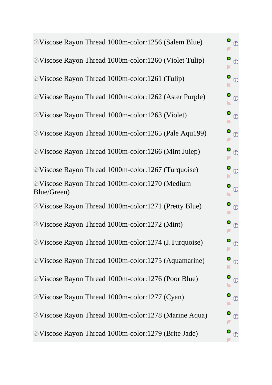| EViscose Rayon Thread 1000m-color:1256 (Salem Blue)           | $\bullet$ $\circ$     |
|---------------------------------------------------------------|-----------------------|
| <i></i> EViscose Rayon Thread 1000m-color:1260 (Violet Tulip) | O<br>$\Phi$           |
| EViscose Rayon Thread 1000m-color:1261 (Tulip)                | ٥<br>$\Phi$           |
| <b>EViscose Rayon Thread 1000m-color:1262 (Aster Purple)</b>  | ٥<br>$\overline{0}$   |
| EViscose Rayon Thread 1000m-color:1263 (Violet)               | O<br>$\overline{0}$   |
| EViscose Rayon Thread 1000m-color:1265 (Pale Aqu199)          | ٥<br>$\Phi$           |
| EViscose Rayon Thread 1000m-color:1266 (Mint Julep)           | 0<br>$\odot$          |
| <b>EViscose Rayon Thread 1000m-color:1267 (Turquoise)</b>     | O<br>$\overline{0}$   |
| EViscose Rayon Thread 1000m-color:1270 (Medium<br>Blue/Green) | о<br>$\Phi$           |
| EViscose Rayon Thread 1000m-color:1271 (Pretty Blue)          | o<br>$\odot$          |
| EViscose Rayon Thread 1000m-color:1272 (Mint)                 | O<br>$\overline{0}$   |
| EViscose Rayon Thread 1000m-color:1274 (J.Turquoise)          | U<br>$^\circledR$     |
| EViscose Rayon Thread 1000m-color:1275 (Aquamarine)           | O<br>$\overline{0}$   |
| <b>EViscose Rayon Thread 1000m-color:1276 (Poor Blue)</b>     | $\bullet$ $_{\oplus}$ |
| EViscose Rayon Thread 1000m-color:1277 (Cyan)                 | ٥<br>$\overline{0}$   |
| <b>EViscose Rayon Thread 1000m-color:1278 (Marine Aqua)</b>   | o<br>$\Phi$           |
| <b>EViscose Rayon Thread 1000m-color:1279 (Brite Jade)</b>    | $\Phi$                |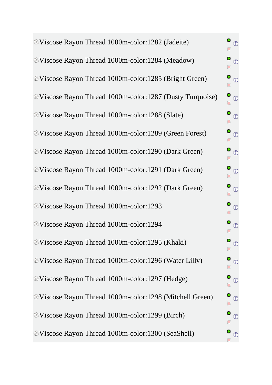[V](http://marathonaustralia.com.au/admin/categories.php?cPath=1_5&pID=794&action=new_product_preview&read=only&osCAdminID=5aceda96b2ddca0899e66d5f4475e556)iscose Rayon Thread 1000m-color:1282 (Jadeite) O  $\oplus$ [V](http://marathonaustralia.com.au/admin/categories.php?cPath=1_5&pID=795&action=new_product_preview&read=only&osCAdminID=5aceda96b2ddca0899e66d5f4475e556)iscose Rayon Thread 1000m-color:1284 (Meadow) O  $\odot$  $\Box$ [V](http://marathonaustralia.com.au/admin/categories.php?cPath=1_5&pID=584&action=new_product_preview&read=only&osCAdminID=5aceda96b2ddca0899e66d5f4475e556)iscose Rayon Thread 1000m-color:1285 (Bright Green) o  $\odot$ [V](http://marathonaustralia.com.au/admin/categories.php?cPath=1_5&pID=585&action=new_product_preview&read=only&osCAdminID=5aceda96b2ddca0899e66d5f4475e556)iscose Rayon Thread 1000m-color:1287 (Dusty Turquoise)  $\odot$ Ō O [V](http://marathonaustralia.com.au/admin/categories.php?cPath=1_5&pID=586&action=new_product_preview&read=only&osCAdminID=5aceda96b2ddca0899e66d5f4475e556)iscose Rayon Thread 1000m-color:1288 (Slate)  $\odot$  $\Box$ [V](http://marathonaustralia.com.au/admin/categories.php?cPath=1_5&pID=587&action=new_product_preview&read=only&osCAdminID=5aceda96b2ddca0899e66d5f4475e556)iscose Rayon Thread 1000m-color:1289 (Green Forest)  $\mathbf{\circ}$  $\odot$ [V](http://marathonaustralia.com.au/admin/categories.php?cPath=1_5&pID=588&action=new_product_preview&read=only&osCAdminID=5aceda96b2ddca0899e66d5f4475e556)iscose Rayon Thread 1000m-color:1290 (Dark Green) O  $\odot$ [V](http://marathonaustralia.com.au/admin/categories.php?cPath=1_5&pID=589&action=new_product_preview&read=only&osCAdminID=5aceda96b2ddca0899e66d5f4475e556)iscose Rayon Thread 1000m-color:1291 (Dark Green) O  $\oplus$ [V](http://marathonaustralia.com.au/admin/categories.php?cPath=1_5&pID=590&action=new_product_preview&read=only&osCAdminID=5aceda96b2ddca0899e66d5f4475e556)iscose Rayon Thread 1000m-color:1292 (Dark Green) O  $\odot$ Ō O [V](http://marathonaustralia.com.au/admin/categories.php?cPath=1_5&pID=591&action=new_product_preview&read=only&osCAdminID=5aceda96b2ddca0899e66d5f4475e556)iscose Rayon Thread 1000m-color:1293  $\odot$ [V](http://marathonaustralia.com.au/admin/categories.php?cPath=1_5&pID=592&action=new_product_preview&read=only&osCAdminID=5aceda96b2ddca0899e66d5f4475e556)iscose Rayon Thread 1000m-color:1294 o  $\odot$ [V](http://marathonaustralia.com.au/admin/categories.php?cPath=1_5&pID=593&action=new_product_preview&read=only&osCAdminID=5aceda96b2ddca0899e66d5f4475e556)iscose Rayon Thread 1000m-color:1295 (Khaki)  $\odot$ [V](http://marathonaustralia.com.au/admin/categories.php?cPath=1_5&pID=594&action=new_product_preview&read=only&osCAdminID=5aceda96b2ddca0899e66d5f4475e556)iscose Rayon Thread 1000m-color:1296 (Water Lilly)  $\bigcirc$  $\bullet$ [V](http://marathonaustralia.com.au/admin/categories.php?cPath=1_5&pID=595&action=new_product_preview&read=only&osCAdminID=5aceda96b2ddca0899e66d5f4475e556)iscose Rayon Thread 1000m-color:1297 (Hedge) O  $\Phi$  $\circ$ [V](http://marathonaustralia.com.au/admin/categories.php?cPath=1_5&pID=596&action=new_product_preview&read=only&osCAdminID=5aceda96b2ddca0899e66d5f4475e556)iscose Rayon Thread 1000m-color:1298 (Mitchell Green) O  $\odot$  $\Box$ O [V](http://marathonaustralia.com.au/admin/categories.php?cPath=1_5&pID=597&action=new_product_preview&read=only&osCAdminID=5aceda96b2ddca0899e66d5f4475e556)iscose Rayon Thread 1000m-color:1299 (Birch)  $\odot$ [V](http://marathonaustralia.com.au/admin/categories.php?cPath=1_5&pID=599&action=new_product_preview&read=only&osCAdminID=5aceda96b2ddca0899e66d5f4475e556)iscose Rayon Thread 1000m-color:1300 (SeaShell) $\circ$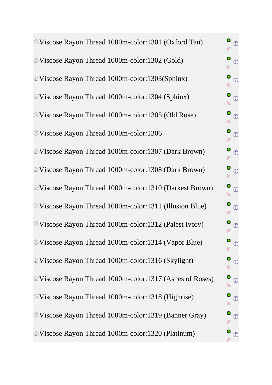| <b>EViscose Rayon Thread 1000m-color:1301 (Oxford Tan)</b>     | $\bullet$ $\circ$        |
|----------------------------------------------------------------|--------------------------|
| EViscose Rayon Thread 1000m-color:1302 (Gold)                  | ٥<br>$\Phi$              |
| <b>EViscose Rayon Thread 1000m-color:1303(Sphinx)</b>          | $\bullet$ $\circledcirc$ |
| EViscose Rayon Thread 1000m-color:1304 (Sphinx)                | $\bullet$ $_{\oplus}$    |
| EViscose Rayon Thread 1000m-color:1305 (Old Rose)              | $\bullet$                |
| <b>EViscose Rayon Thread 1000m-color:1306</b>                  | $\bullet$                |
| EViscose Rayon Thread 1000m-color:1307 (Dark Brown)            | $\bullet$ $_{\oplus}$    |
| Viscose Rayon Thread 1000m-color:1308 (Dark Brown)             | $\bullet$                |
| <b>EViscose Rayon Thread 1000m-color:1310 (Darkest Brown)</b>  | $\bullet$                |
| <b>EViscose Rayon Thread 1000m-color:1311 (Illusion Blue)</b>  | $\bullet$ $_{\oplus}$    |
| <b>EViscose Rayon Thread 1000m-color:1312 (Palest Ivory)</b>   | $\bullet$                |
| Viscose Rayon Thread 1000m-color:1314 (Vapor Blue)             | o<br>$^\circledR$        |
| EViscose Rayon Thread 1000m-color:1316 (Skylight)              | $\circ$<br>$\Phi$        |
| <b>EViscose Rayon Thread 1000m-color:1317 (Ashes of Roses)</b> | O<br>$\Phi$              |
| <i></i> EViscose Rayon Thread 1000m-color:1318 (Highrise)      | $\bullet$ $_{\oplus}$    |
| EViscose Rayon Thread 1000m-color:1319 (Banner Gray)           | O<br>$\Phi$              |
| EViscose Rayon Thread 1000m-color:1320 (Platinum)              | $\bullet$ $_{\oplus}$    |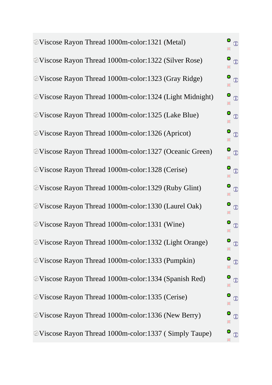[V](http://marathonaustralia.com.au/admin/categories.php?cPath=1_5&pID=615&action=new_product_preview&read=only&osCAdminID=5aceda96b2ddca0899e66d5f4475e556)iscose Rayon Thread 1000m-color:1321 (Metal)  $\bullet$ [V](http://marathonaustralia.com.au/admin/categories.php?cPath=1_5&pID=616&action=new_product_preview&read=only&osCAdminID=5aceda96b2ddca0899e66d5f4475e556)iscose Rayon Thread 1000m-color:1322 (Silver Rose) o  $\Box$ [V](http://marathonaustralia.com.au/admin/categories.php?cPath=1_5&pID=617&action=new_product_preview&read=only&osCAdminID=5aceda96b2ddca0899e66d5f4475e556)iscose Rayon Thread 1000m-color:1323 (Gray Ridge) o [V](http://marathonaustralia.com.au/admin/categories.php?cPath=1_5&pID=618&action=new_product_preview&read=only&osCAdminID=5aceda96b2ddca0899e66d5f4475e556)iscose Rayon Thread 1000m-color:1324 (Light Midnight) Ō O [V](http://marathonaustralia.com.au/admin/categories.php?cPath=1_5&pID=619&action=new_product_preview&read=only&osCAdminID=5aceda96b2ddca0899e66d5f4475e556)iscose Rayon Thread 1000m-color:1325 (Lake Blue) Ō O [V](http://marathonaustralia.com.au/admin/categories.php?cPath=1_5&pID=620&action=new_product_preview&read=only&osCAdminID=5aceda96b2ddca0899e66d5f4475e556)iscose Rayon Thread 1000m-color:1326 (Apricot) [V](http://marathonaustralia.com.au/admin/categories.php?cPath=1_5&pID=621&action=new_product_preview&read=only&osCAdminID=5aceda96b2ddca0899e66d5f4475e556)iscose Rayon Thread 1000m-color:1327 (Oceanic Green) O [V](http://marathonaustralia.com.au/admin/categories.php?cPath=1_5&pID=622&action=new_product_preview&read=only&osCAdminID=5aceda96b2ddca0899e66d5f4475e556)iscose Rayon Thread 1000m-color:1328 (Cerise) O O [V](http://marathonaustralia.com.au/admin/categories.php?cPath=1_5&pID=623&action=new_product_preview&read=only&osCAdminID=5aceda96b2ddca0899e66d5f4475e556)iscose Rayon Thread 1000m-color:1329 (Ruby Glint) Ō O [V](http://marathonaustralia.com.au/admin/categories.php?cPath=1_5&pID=624&action=new_product_preview&read=only&osCAdminID=5aceda96b2ddca0899e66d5f4475e556)iscose Rayon Thread 1000m-color:1330 (Laurel Oak) [V](http://marathonaustralia.com.au/admin/categories.php?cPath=1_5&pID=625&action=new_product_preview&read=only&osCAdminID=5aceda96b2ddca0899e66d5f4475e556)iscose Rayon Thread 1000m-color:1331 (Wine) o [V](http://marathonaustralia.com.au/admin/categories.php?cPath=1_5&pID=626&action=new_product_preview&read=only&osCAdminID=5aceda96b2ddca0899e66d5f4475e556)iscose Rayon Thread 1000m-color:1332 (Light Orange) O [V](http://marathonaustralia.com.au/admin/categories.php?cPath=1_5&pID=627&action=new_product_preview&read=only&osCAdminID=5aceda96b2ddca0899e66d5f4475e556)iscose Rayon Thread 1000m-color:1333 (Pumpkin) o  $\bullet$ [V](http://marathonaustralia.com.au/admin/categories.php?cPath=1_5&pID=628&action=new_product_preview&read=only&osCAdminID=5aceda96b2ddca0899e66d5f4475e556)iscose Rayon Thread 1000m-color:1334 (Spanish Red) O  $\circ$ [V](http://marathonaustralia.com.au/admin/categories.php?cPath=1_5&pID=629&action=new_product_preview&read=only&osCAdminID=5aceda96b2ddca0899e66d5f4475e556)iscose Rayon Thread 1000m-color:1335 (Cerise) O  $\bullet$ [V](http://marathonaustralia.com.au/admin/categories.php?cPath=1_5&pID=630&action=new_product_preview&read=only&osCAdminID=5aceda96b2ddca0899e66d5f4475e556)iscose Rayon Thread 1000m-color:1336 (New Berry) O [V](http://marathonaustralia.com.au/admin/categories.php?cPath=1_5&pID=631&action=new_product_preview&read=only&osCAdminID=5aceda96b2ddca0899e66d5f4475e556)iscose Rayon Thread 1000m-color:1337 ( Simply Taupe)

 $\oplus$ 

 $\odot$ 

 $\odot$ 

 $\odot$ 

 $\odot$ 

 $\odot$ 

 $\odot$ 

 $\odot$ 

 $\odot$ 

 $\oplus$ 

 $\odot$ 

 $\odot$ 

 $\oplus$ 

 $\Phi$ 

 $\odot$ 

 $\circled{1}$ 

 $\odot$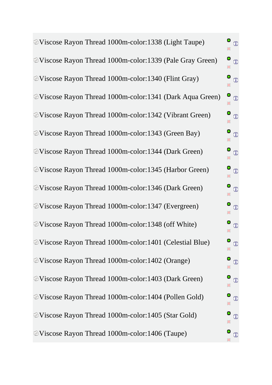[V](http://marathonaustralia.com.au/admin/categories.php?cPath=1_5&pID=632&action=new_product_preview&read=only&osCAdminID=5aceda96b2ddca0899e66d5f4475e556)iscose Rayon Thread 1000m-color:1338 (Light Taupe) O [V](http://marathonaustralia.com.au/admin/categories.php?cPath=1_5&pID=633&action=new_product_preview&read=only&osCAdminID=5aceda96b2ddca0899e66d5f4475e556)iscose Rayon Thread 1000m-color:1339 (Pale Gray Green) o [V](http://marathonaustralia.com.au/admin/categories.php?cPath=1_5&pID=634&action=new_product_preview&read=only&osCAdminID=5aceda96b2ddca0899e66d5f4475e556)iscose Rayon Thread 1000m-color:1340 (Flint Gray) o [V](http://marathonaustralia.com.au/admin/categories.php?cPath=1_5&pID=635&action=new_product_preview&read=only&osCAdminID=5aceda96b2ddca0899e66d5f4475e556)iscose Rayon Thread 1000m-color:1341 (Dark Aqua Green) O [V](http://marathonaustralia.com.au/admin/categories.php?cPath=1_5&pID=636&action=new_product_preview&read=only&osCAdminID=5aceda96b2ddca0899e66d5f4475e556)iscose Rayon Thread 1000m-color:1342 (Vibrant Green) O [V](http://marathonaustralia.com.au/admin/categories.php?cPath=1_5&pID=637&action=new_product_preview&read=only&osCAdminID=5aceda96b2ddca0899e66d5f4475e556)iscose Rayon Thread 1000m-color:1343 (Green Bay) [V](http://marathonaustralia.com.au/admin/categories.php?cPath=1_5&pID=638&action=new_product_preview&read=only&osCAdminID=5aceda96b2ddca0899e66d5f4475e556)iscose Rayon Thread 1000m-color:1344 (Dark Green) O [V](http://marathonaustralia.com.au/admin/categories.php?cPath=1_5&pID=639&action=new_product_preview&read=only&osCAdminID=5aceda96b2ddca0899e66d5f4475e556)iscose Rayon Thread 1000m-color:1345 (Harbor Green) O [V](http://marathonaustralia.com.au/admin/categories.php?cPath=1_5&pID=640&action=new_product_preview&read=only&osCAdminID=5aceda96b2ddca0899e66d5f4475e556)iscose Rayon Thread 1000m-color:1346 (Dark Green) O O [V](http://marathonaustralia.com.au/admin/categories.php?cPath=1_5&pID=641&action=new_product_preview&read=only&osCAdminID=5aceda96b2ddca0899e66d5f4475e556)iscose Rayon Thread 1000m-color:1347 (Evergreen) [V](http://marathonaustralia.com.au/admin/categories.php?cPath=1_5&pID=642&action=new_product_preview&read=only&osCAdminID=5aceda96b2ddca0899e66d5f4475e556)iscose Rayon Thread 1000m-color:1348 (off White) o [V](http://marathonaustralia.com.au/admin/categories.php?cPath=1_5&pID=644&action=new_product_preview&read=only&osCAdminID=5aceda96b2ddca0899e66d5f4475e556)iscose Rayon Thread 1000m-color:1401 (Celestial Blue) O [V](http://marathonaustralia.com.au/admin/categories.php?cPath=1_5&pID=645&action=new_product_preview&read=only&osCAdminID=5aceda96b2ddca0899e66d5f4475e556)iscose Rayon Thread 1000m-color:1402 (Orange)  $\bullet$ [V](http://marathonaustralia.com.au/admin/categories.php?cPath=1_5&pID=646&action=new_product_preview&read=only&osCAdminID=5aceda96b2ddca0899e66d5f4475e556)iscose Rayon Thread 1000m-color:1403 (Dark Green) O  $\circ$ [V](http://marathonaustralia.com.au/admin/categories.php?cPath=1_5&pID=402&action=new_product_preview&read=only&osCAdminID=5aceda96b2ddca0899e66d5f4475e556)iscose Rayon Thread 1000m-color:1404 (Pollen Gold) O  $\bullet$ O [V](http://marathonaustralia.com.au/admin/categories.php?cPath=1_5&pID=401&action=new_product_preview&read=only&osCAdminID=5aceda96b2ddca0899e66d5f4475e556)iscose Rayon Thread 1000m-color:1405 (Star Gold) [V](http://marathonaustralia.com.au/admin/categories.php?cPath=1_5&pID=647&action=new_product_preview&read=only&osCAdminID=5aceda96b2ddca0899e66d5f4475e556)iscose Rayon Thread 1000m-color:1406 (Taupe)

 $\odot$ 

 $\odot$ Ō

 $\circ$ 

 $\odot$ Ō

 $\odot$ 

 $\odot$ 

 $\odot$ 

 $\odot$ 

 $\oplus$ 

 $\odot$ 

 $\odot$ 

 $\odot$ 

 $\odot$ 

 $\Phi$ 

 $\odot$ 

 $\odot$ 

 $\odot$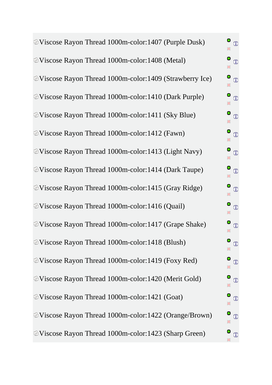[V](http://marathonaustralia.com.au/admin/categories.php?cPath=1_5&pID=649&action=new_product_preview&read=only&osCAdminID=5aceda96b2ddca0899e66d5f4475e556)iscose Rayon Thread 1000m-color:1407 (Purple Dusk) O  $\oplus$  $\bullet$ [V](http://marathonaustralia.com.au/admin/categories.php?cPath=1_5&pID=648&action=new_product_preview&read=only&osCAdminID=5aceda96b2ddca0899e66d5f4475e556)iscose Rayon Thread 1000m-color:1408 (Metal)  $\odot$  $\bullet$ [V](http://marathonaustralia.com.au/admin/categories.php?cPath=1_5&pID=650&action=new_product_preview&read=only&osCAdminID=5aceda96b2ddca0899e66d5f4475e556)iscose Rayon Thread 1000m-color:1409 (Strawberry Ice) 0  $\Phi$ [V](http://marathonaustralia.com.au/admin/categories.php?cPath=1_5&pID=651&action=new_product_preview&read=only&osCAdminID=5aceda96b2ddca0899e66d5f4475e556)iscose Rayon Thread 1000m-color:1410 (Dark Purple) O  $\oplus$  $\Box$ O [V](http://marathonaustralia.com.au/admin/categories.php?cPath=1_5&pID=652&action=new_product_preview&read=only&osCAdminID=5aceda96b2ddca0899e66d5f4475e556)iscose Rayon Thread 1000m-color:1411 (Sky Blue)  $\odot$ Ō O [V](http://marathonaustralia.com.au/admin/categories.php?cPath=1_5&pID=653&action=new_product_preview&read=only&osCAdminID=5aceda96b2ddca0899e66d5f4475e556)iscose Rayon Thread 1000m-color:1412 (Fawn)  $\odot$ [V](http://marathonaustralia.com.au/admin/categories.php?cPath=1_5&pID=654&action=new_product_preview&read=only&osCAdminID=5aceda96b2ddca0899e66d5f4475e556)iscose Rayon Thread 1000m-color:1413 (Light Navy)  $\bullet$  $\odot$ [V](http://marathonaustralia.com.au/admin/categories.php?cPath=1_5&pID=655&action=new_product_preview&read=only&osCAdminID=5aceda96b2ddca0899e66d5f4475e556)iscose Rayon Thread 1000m-color:1414 (Dark Taupe) O  $\odot$ [V](http://marathonaustralia.com.au/admin/categories.php?cPath=1_5&pID=656&action=new_product_preview&read=only&osCAdminID=5aceda96b2ddca0899e66d5f4475e556)iscose Rayon Thread 1000m-color:1415 (Gray Ridge) O  $\odot$ O [V](http://marathonaustralia.com.au/admin/categories.php?cPath=1_5&pID=657&action=new_product_preview&read=only&osCAdminID=5aceda96b2ddca0899e66d5f4475e556)iscose Rayon Thread 1000m-color:1416 (Quail)  $\odot$ [V](http://marathonaustralia.com.au/admin/categories.php?cPath=1_5&pID=425&action=new_product_preview&read=only&osCAdminID=5aceda96b2ddca0899e66d5f4475e556)iscose Rayon Thread 1000m-color:1417 (Grape Shake) o  $\odot$ [V](http://marathonaustralia.com.au/admin/categories.php?cPath=1_5&pID=658&action=new_product_preview&read=only&osCAdminID=5aceda96b2ddca0899e66d5f4475e556)iscose Rayon Thread 1000m-color:1418 (Blush) O  $\odot$ [V](http://marathonaustralia.com.au/admin/categories.php?cPath=1_5&pID=659&action=new_product_preview&read=only&osCAdminID=5aceda96b2ddca0899e66d5f4475e556)iscose Rayon Thread 1000m-color:1419 (Foxy Red)  $\odot$ Ō [V](http://marathonaustralia.com.au/admin/categories.php?cPath=1_5&pID=404&action=new_product_preview&read=only&osCAdminID=5aceda96b2ddca0899e66d5f4475e556)iscose Rayon Thread 1000m-color:1420 (Merit Gold) O  $\Phi$  $\circ$ [V](http://marathonaustralia.com.au/admin/categories.php?cPath=1_5&pID=660&action=new_product_preview&read=only&osCAdminID=5aceda96b2ddca0899e66d5f4475e556)iscose Rayon Thread 1000m-color:1421 (Goat) O  $\odot$  $\Box$ [V](http://marathonaustralia.com.au/admin/categories.php?cPath=1_5&pID=661&action=new_product_preview&read=only&osCAdminID=5aceda96b2ddca0899e66d5f4475e556)iscose Rayon Thread 1000m-color:1422 (Orange/Brown) O  $\circ$ [V](http://marathonaustralia.com.au/admin/categories.php?cPath=1_5&pID=662&action=new_product_preview&read=only&osCAdminID=5aceda96b2ddca0899e66d5f4475e556)iscose Rayon Thread 1000m-color:1423 (Sharp Green) $\circ$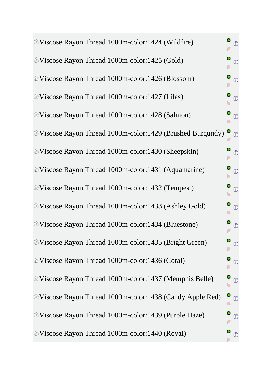[V](http://marathonaustralia.com.au/admin/categories.php?cPath=1_5&pID=663&action=new_product_preview&read=only&osCAdminID=5aceda96b2ddca0899e66d5f4475e556)iscose Rayon Thread 1000m-color:1424 (Wildfire) O  $\oplus$ [V](http://marathonaustralia.com.au/admin/categories.php?cPath=1_5&pID=403&action=new_product_preview&read=only&osCAdminID=5aceda96b2ddca0899e66d5f4475e556)iscose Rayon Thread 1000m-color:1425 (Gold) O  $\odot$  $\Box$ [V](http://marathonaustralia.com.au/admin/categories.php?cPath=1_5&pID=418&action=new_product_preview&read=only&osCAdminID=5aceda96b2ddca0899e66d5f4475e556)iscose Rayon Thread 1000m-color:1426 (Blossom) o  $^{\circ}$ [V](http://marathonaustralia.com.au/admin/categories.php?cPath=1_5&pID=664&action=new_product_preview&read=only&osCAdminID=5aceda96b2ddca0899e66d5f4475e556)iscose Rayon Thread 1000m-color:1427 (Lilas)  $\oplus$  $\Box$ 0 [V](http://marathonaustralia.com.au/admin/categories.php?cPath=1_5&pID=665&action=new_product_preview&read=only&osCAdminID=5aceda96b2ddca0899e66d5f4475e556)iscose Rayon Thread 1000m-color:1428 (Salmon)  $\odot$ [V](http://marathonaustralia.com.au/admin/categories.php?cPath=1_5&pID=666&action=new_product_preview&read=only&osCAdminID=5aceda96b2ddca0899e66d5f4475e556)iscose Rayon Thread 1000m-color:1429 (Brushed Burgundy) o  $\odot$ [V](http://marathonaustralia.com.au/admin/categories.php?cPath=1_5&pID=667&action=new_product_preview&read=only&osCAdminID=5aceda96b2ddca0899e66d5f4475e556)iscose Rayon Thread 1000m-color:1430 (Sheepskin) O  $\odot$ [V](http://marathonaustralia.com.au/admin/categories.php?cPath=1_5&pID=668&action=new_product_preview&read=only&osCAdminID=5aceda96b2ddca0899e66d5f4475e556)iscose Rayon Thread 1000m-color:1431 (Aquamarine) O  $\odot$ [V](http://marathonaustralia.com.au/admin/categories.php?cPath=1_5&pID=669&action=new_product_preview&read=only&osCAdminID=5aceda96b2ddca0899e66d5f4475e556)iscose Rayon Thread 1000m-color:1432 (Tempest) O  $\oplus$ [V](http://marathonaustralia.com.au/admin/categories.php?cPath=1_5&pID=670&action=new_product_preview&read=only&osCAdminID=5aceda96b2ddca0899e66d5f4475e556)iscose Rayon Thread 1000m-color:1433 (Ashley Gold) O  $\odot$ [V](http://marathonaustralia.com.au/admin/categories.php?cPath=1_5&pID=671&action=new_product_preview&read=only&osCAdminID=5aceda96b2ddca0899e66d5f4475e556)iscose Rayon Thread 1000m-color:1434 (Bluestone) o  $\odot$ [V](http://marathonaustralia.com.au/admin/categories.php?cPath=1_5&pID=672&action=new_product_preview&read=only&osCAdminID=5aceda96b2ddca0899e66d5f4475e556)iscose Rayon Thread 1000m-color:1435 (Bright Green) O  $\odot$ [V](http://marathonaustralia.com.au/admin/categories.php?cPath=1_5&pID=673&action=new_product_preview&read=only&osCAdminID=5aceda96b2ddca0899e66d5f4475e556)iscose Rayon Thread 1000m-color:1436 (Coral) o  $\oplus$  $\bullet$ [V](http://marathonaustralia.com.au/admin/categories.php?cPath=1_5&pID=674&action=new_product_preview&read=only&osCAdminID=5aceda96b2ddca0899e66d5f4475e556)iscose Rayon Thread 1000m-color:1437 (Memphis Belle) O  $\Phi$  $\circ$ [V](http://marathonaustralia.com.au/admin/categories.php?cPath=1_5&pID=676&action=new_product_preview&read=only&osCAdminID=5aceda96b2ddca0899e66d5f4475e556)iscose Rayon Thread 1000m-color:1438 (Candy Apple Red) 0  $\odot$ Ō  $\bullet$ [V](http://marathonaustralia.com.au/admin/categories.php?cPath=1_5&pID=677&action=new_product_preview&read=only&osCAdminID=5aceda96b2ddca0899e66d5f4475e556)iscose Rayon Thread 1000m-color:1439 (Purple Haze)  $\odot$ [V](http://marathonaustralia.com.au/admin/categories.php?cPath=1_5&pID=678&action=new_product_preview&read=only&osCAdminID=5aceda96b2ddca0899e66d5f4475e556)iscose Rayon Thread 1000m-color:1440 (Royal) $\circ$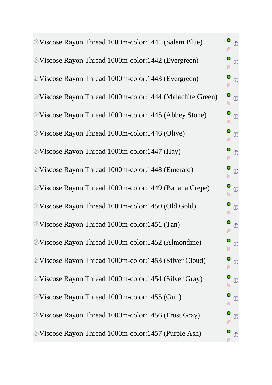| EViscose Rayon Thread 1000m-color:1441 (Salem Blue)                          | $\bullet$ $_{\oplus}$    |
|------------------------------------------------------------------------------|--------------------------|
| Eviscose Rayon Thread 1000m-color:1442 (Evergreen)                           | O<br>$\odot$             |
| Eviscose Rayon Thread 1000m-color:1443 (Evergreen)                           | $\bullet$ $_{\oplus}$    |
| <b>EViscose Rayon Thread 1000m-color:1444 (Malachite Green)</b>              | ٥<br>$\Phi$              |
| EViscose Rayon Thread 1000m-color:1445 (Abbey Stone)                         | o<br>$\Phi$              |
| EViscose Rayon Thread 1000m-color:1446 (Olive)                               | $\bullet$ $\circ$        |
| EViscose Rayon Thread 1000m-color:1447 (Hay)                                 | ۰<br>$\Phi$              |
| <b>Exercise &amp; Solution &amp; Rayon Thread 1000m-color:1448 (Emerald)</b> | O<br>$\Phi$              |
| Viscose Rayon Thread 1000m-color:1449 (Banana Crepe)                         | $\bullet$ $_{\oplus}$    |
| EViscose Rayon Thread 1000m-color:1450 (Old Gold)                            | o<br>$\odot$             |
| EViscose Rayon Thread 1000m-color:1451 (Tan)                                 | O<br>$\Phi$              |
| EViscose Rayon Thread 1000m-color:1452 (Almondine)                           | $\bullet$ $\circledcirc$ |
| Viscose Rayon Thread 1000m-color:1453 (Silver Cloud)                         | O<br>$\Phi$              |
| Uiscose Rayon Thread 1000m-color:1454 (Silver Gray)                          | $\bullet$ $_{\oplus}$    |
| Viscose Rayon Thread 1000m-color:1455 (Gull)                                 | ٥<br>$\Phi$              |
| EViscose Rayon Thread 1000m-color:1456 (Frost Gray)                          | O<br>$\Phi$              |
| EViscose Rayon Thread 1000m-color:1457 (Purple Ash)                          | $\Phi$                   |